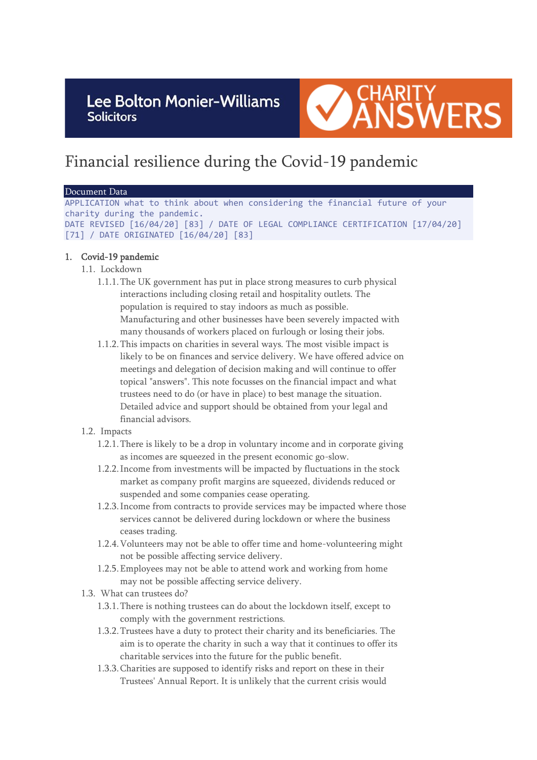Lee Bolton Monier-Williams **Solicitors** 



# Financial resilience during the Covid-19 pandemic

#### Document Data

APPLICATION what to think about when considering the financial future of your charity during the pandemic. DATE REVISED [16/04/20] [83] / DATE OF LEGAL COMPLIANCE CERTIFICATION [17/04/20] [71] / DATE ORIGINATED [16/04/20] [83]

### 1. Covid-19 pandemic

- 1.1. Lockdown
	- 1.1.1.The UK government has put in place strong measures to curb physical interactions including closing retail and hospitality outlets. The population is required to stay indoors as much as possible. Manufacturing and other businesses have been severely impacted with many thousands of workers placed on furlough or losing their jobs.
	- 1.1.2.This impacts on charities in several ways. The most visible impact is likely to be on finances and service delivery. We have offered advice on meetings and delegation of decision making and will continue to offer topical "answers". This note focusses on the financial impact and what trustees need to do (or have in place) to best manage the situation. Detailed advice and support should be obtained from your legal and financial advisors.

### 1.2. Impacts

- 1.2.1.There is likely to be a drop in voluntary income and in corporate giving as incomes are squeezed in the present economic go-slow.
- 1.2.2.Income from investments will be impacted by fluctuations in the stock market as company profit margins are squeezed, dividends reduced or suspended and some companies cease operating.
- 1.2.3.Income from contracts to provide services may be impacted where those services cannot be delivered during lockdown or where the business ceases trading.
- 1.2.4.Volunteers may not be able to offer time and home-volunteering might not be possible affecting service delivery.
- 1.2.5.Employees may not be able to attend work and working from home may not be possible affecting service delivery.
- 1.3. What can trustees do?
	- 1.3.1.There is nothing trustees can do about the lockdown itself, except to comply with the government restrictions.
	- 1.3.2.Trustees have a duty to protect their charity and its beneficiaries. The aim is to operate the charity in such a way that it continues to offer its charitable services into the future for the public benefit.
	- 1.3.3.Charities are supposed to identify risks and report on these in their Trustees' Annual Report. It is unlikely that the current crisis would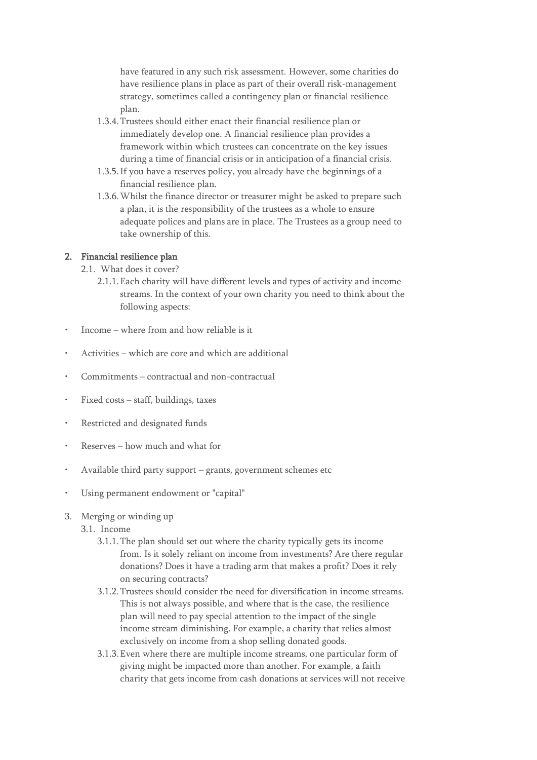have featured in any such risk assessment. However, some charities do have resilience plans in place as part of their overall risk-management strategy, sometimes called a contingency plan or financial resilience plan.

- 1.3.4.Trustees should either enact their financial resilience plan or immediately develop one. A financial resilience plan provides a framework within which trustees can concentrate on the key issues during a time of financial crisis or in anticipation of a financial crisis.
- 1.3.5.If you have a reserves policy, you already have the beginnings of a financial resilience plan.
- 1.3.6.Whilst the finance director or treasurer might be asked to prepare such a plan, it is the responsibility of the trustees as a whole to ensure adequate polices and plans are in place. The Trustees as a group need to take ownership of this.

### 2. Financial resilience plan

- 2.1. What does it cover?
	- 2.1.1.Each charity will have different levels and types of activity and income streams. In the context of your own charity you need to think about the following aspects:
- Income where from and how reliable is it
- Activities which are core and which are additional
- Commitments contractual and non-contractual
- Fixed costs staff, buildings, taxes
- Restricted and designated funds
- Reserves how much and what for
- Available third party support grants, government schemes etc
- Using permanent endowment or "capital"
- 3. Merging or winding up
	- 3.1. Income
		- 3.1.1.The plan should set out where the charity typically gets its income from. Is it solely reliant on income from investments? Are there regular donations? Does it have a trading arm that makes a profit? Does it rely on securing contracts?
		- 3.1.2.Trustees should consider the need for diversification in income streams. This is not always possible, and where that is the case, the resilience plan will need to pay special attention to the impact of the single income stream diminishing. For example, a charity that relies almost exclusively on income from a shop selling donated goods.
		- 3.1.3.Even where there are multiple income streams, one particular form of giving might be impacted more than another. For example, a faith charity that gets income from cash donations at services will not receive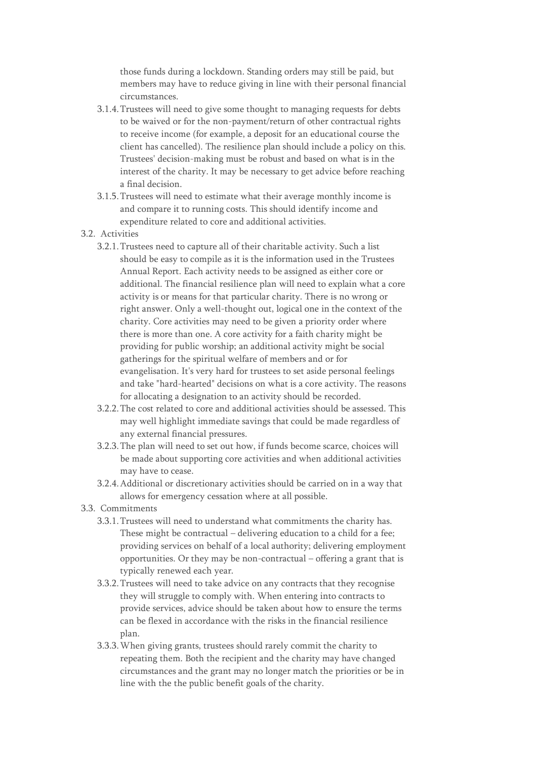those funds during a lockdown. Standing orders may still be paid, but members may have to reduce giving in line with their personal financial circumstances.

- 3.1.4.Trustees will need to give some thought to managing requests for debts to be waived or for the non-payment/return of other contractual rights to receive income (for example, a deposit for an educational course the client has cancelled). The resilience plan should include a policy on this. Trustees' decision-making must be robust and based on what is in the interest of the charity. It may be necessary to get advice before reaching a final decision.
- 3.1.5.Trustees will need to estimate what their average monthly income is and compare it to running costs. This should identify income and expenditure related to core and additional activities.
- 3.2. Activities
	- 3.2.1.Trustees need to capture all of their charitable activity. Such a list should be easy to compile as it is the information used in the Trustees Annual Report. Each activity needs to be assigned as either core or additional. The financial resilience plan will need to explain what a core activity is or means for that particular charity. There is no wrong or right answer. Only a well-thought out, logical one in the context of the charity. Core activities may need to be given a priority order where there is more than one. A core activity for a faith charity might be providing for public worship; an additional activity might be social gatherings for the spiritual welfare of members and or for evangelisation. It's very hard for trustees to set aside personal feelings and take "hard-hearted" decisions on what is a core activity. The reasons for allocating a designation to an activity should be recorded.
	- 3.2.2.The cost related to core and additional activities should be assessed. This may well highlight immediate savings that could be made regardless of any external financial pressures.
	- 3.2.3.The plan will need to set out how, if funds become scarce, choices will be made about supporting core activities and when additional activities may have to cease.
	- 3.2.4.Additional or discretionary activities should be carried on in a way that allows for emergency cessation where at all possible.
- 3.3. Commitments
	- 3.3.1.Trustees will need to understand what commitments the charity has. These might be contractual – delivering education to a child for a fee; providing services on behalf of a local authority; delivering employment opportunities. Or they may be non-contractual – offering a grant that is typically renewed each year.
	- 3.3.2.Trustees will need to take advice on any contracts that they recognise they will struggle to comply with. When entering into contracts to provide services, advice should be taken about how to ensure the terms can be flexed in accordance with the risks in the financial resilience plan.
	- 3.3.3.When giving grants, trustees should rarely commit the charity to repeating them. Both the recipient and the charity may have changed circumstances and the grant may no longer match the priorities or be in line with the the public benefit goals of the charity.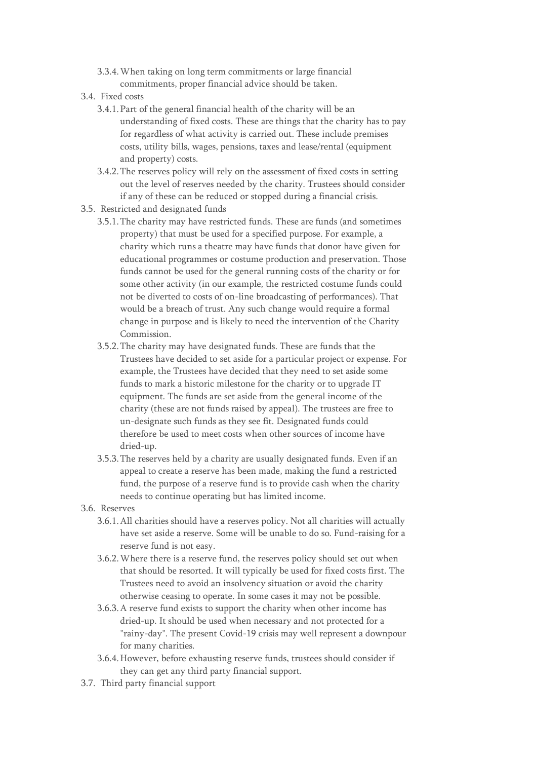- 3.3.4.When taking on long term commitments or large financial commitments, proper financial advice should be taken.
- 3.4. Fixed costs
	- 3.4.1.Part of the general financial health of the charity will be an understanding of fixed costs. These are things that the charity has to pay for regardless of what activity is carried out. These include premises costs, utility bills, wages, pensions, taxes and lease/rental (equipment and property) costs.
	- 3.4.2.The reserves policy will rely on the assessment of fixed costs in setting out the level of reserves needed by the charity. Trustees should consider if any of these can be reduced or stopped during a financial crisis.
- 3.5. Restricted and designated funds
	- 3.5.1.The charity may have restricted funds. These are funds (and sometimes property) that must be used for a specified purpose. For example, a charity which runs a theatre may have funds that donor have given for educational programmes or costume production and preservation. Those funds cannot be used for the general running costs of the charity or for some other activity (in our example, the restricted costume funds could not be diverted to costs of on-line broadcasting of performances). That would be a breach of trust. Any such change would require a formal change in purpose and is likely to need the intervention of the Charity Commission.
	- 3.5.2.The charity may have designated funds. These are funds that the Trustees have decided to set aside for a particular project or expense. For example, the Trustees have decided that they need to set aside some funds to mark a historic milestone for the charity or to upgrade IT equipment. The funds are set aside from the general income of the charity (these are not funds raised by appeal). The trustees are free to un-designate such funds as they see fit. Designated funds could therefore be used to meet costs when other sources of income have dried-up.
	- 3.5.3.The reserves held by a charity are usually designated funds. Even if an appeal to create a reserve has been made, making the fund a restricted fund, the purpose of a reserve fund is to provide cash when the charity needs to continue operating but has limited income.
- 3.6. Reserves
	- 3.6.1.All charities should have a reserves policy. Not all charities will actually have set aside a reserve. Some will be unable to do so. Fund-raising for a reserve fund is not easy.
	- 3.6.2.Where there is a reserve fund, the reserves policy should set out when that should be resorted. It will typically be used for fixed costs first. The Trustees need to avoid an insolvency situation or avoid the charity otherwise ceasing to operate. In some cases it may not be possible.
	- 3.6.3.A reserve fund exists to support the charity when other income has dried-up. It should be used when necessary and not protected for a "rainy-day". The present Covid-19 crisis may well represent a downpour for many charities.
	- 3.6.4.However, before exhausting reserve funds, trustees should consider if they can get any third party financial support.
- 3.7. Third party financial support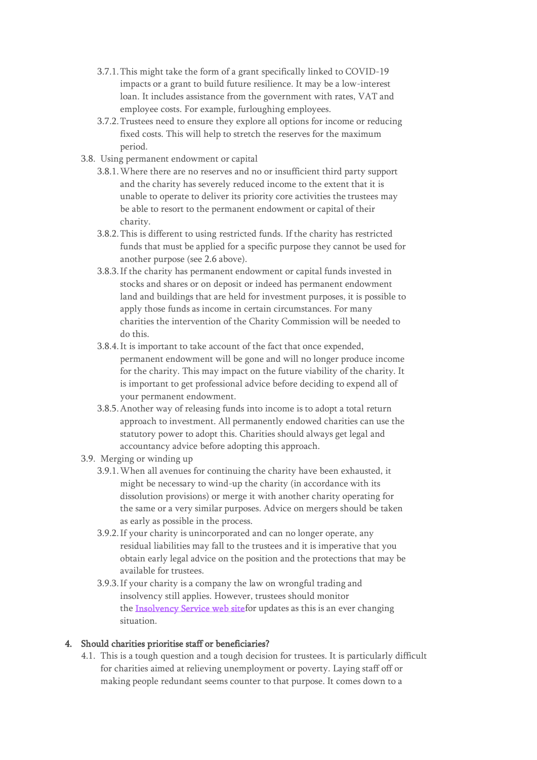- 3.7.1.This might take the form of a grant specifically linked to COVID-19 impacts or a grant to build future resilience. It may be a low-interest loan. It includes assistance from the government with rates, VAT and employee costs. For example, furloughing employees.
- 3.7.2.Trustees need to ensure they explore all options for income or reducing fixed costs. This will help to stretch the reserves for the maximum period.
- 3.8. Using permanent endowment or capital
	- 3.8.1.Where there are no reserves and no or insufficient third party support and the charity has severely reduced income to the extent that it is unable to operate to deliver its priority core activities the trustees may be able to resort to the permanent endowment or capital of their charity.
	- 3.8.2.This is different to using restricted funds. If the charity has restricted funds that must be applied for a specific purpose they cannot be used for another purpose (see 2.6 above).
	- 3.8.3.If the charity has permanent endowment or capital funds invested in stocks and shares or on deposit or indeed has permanent endowment land and buildings that are held for investment purposes, it is possible to apply those funds as income in certain circumstances. For many charities the intervention of the Charity Commission will be needed to do this.
	- 3.8.4.It is important to take account of the fact that once expended, permanent endowment will be gone and will no longer produce income for the charity. This may impact on the future viability of the charity. It is important to get professional advice before deciding to expend all of your permanent endowment.
	- 3.8.5.Another way of releasing funds into income is to adopt a total return approach to investment. All permanently endowed charities can use the statutory power to adopt this. Charities should always get legal and accountancy advice before adopting this approach.
- 3.9. Merging or winding up
	- 3.9.1.When all avenues for continuing the charity have been exhausted, it might be necessary to wind-up the charity (in accordance with its dissolution provisions) or merge it with another charity operating for the same or a very similar purposes. Advice on mergers should be taken as early as possible in the process.
	- 3.9.2.If your charity is unincorporated and can no longer operate, any residual liabilities may fall to the trustees and it is imperative that you obtain early legal advice on the position and the protections that may be available for trustees.
	- 3.9.3.If your charity is a company the law on wrongful trading and insolvency still applies. However, trustees should monitor the **Insolvency Service web site**for updates as this is an ever changing situation.

## 4. Should charities prioritise staff or beneficiaries?

4.1. This is a tough question and a tough decision for trustees. It is particularly difficult for charities aimed at relieving unemployment or poverty. Laying staff off or making people redundant seems counter to that purpose. It comes down to a